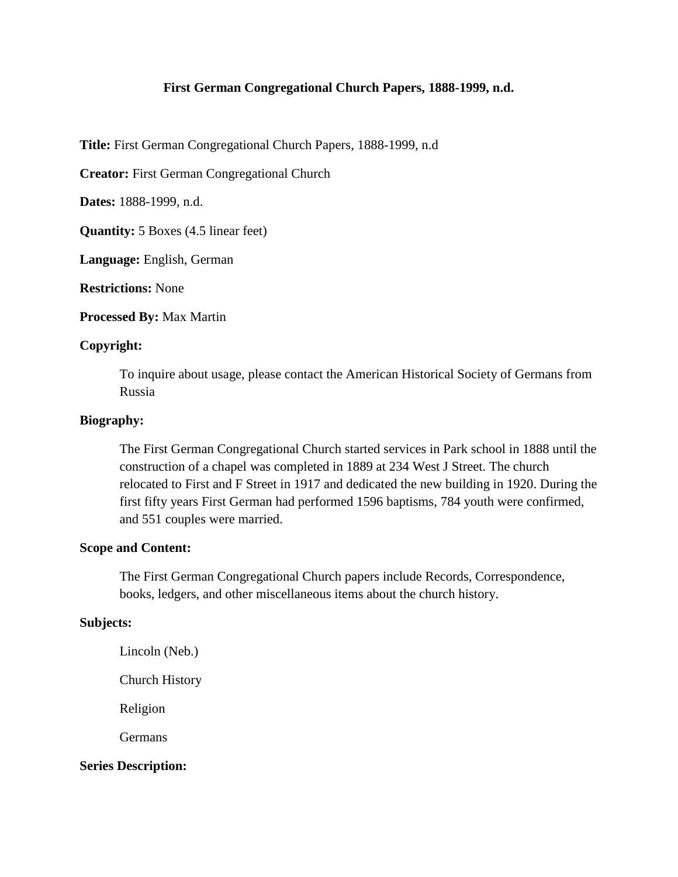## **First German Congregational Church Papers, 1888-1999, n.d.**

**Title:** First German Congregational Church Papers, 1888-1999, n.d

**Creator:** First German Congregational Church

**Dates:** 1888-1999, n.d.

**Quantity:** 5 Boxes (4.5 linear feet)

**Language:** English, German

**Restrictions:** None

**Processed By:** Max Martin

#### **Copyright:**

To inquire about usage, please contact the American Historical Society of Germans from Russia

### **Biography:**

The First German Congregational Church started services in Park school in 1888 until the construction of a chapel was completed in 1889 at 234 West J Street. The church relocated to First and F Street in 1917 and dedicated the new building in 1920. During the first fifty years First German had performed 1596 baptisms, 784 youth were confirmed, and 551 couples were married.

# **Scope and Content:**

The First German Congregational Church papers include Records, Correspondence, books, ledgers, and other miscellaneous items about the church history.

## **Subjects:**

Lincoln (Neb.)

Church History

Religion

**Germans** 

#### **Series Description:**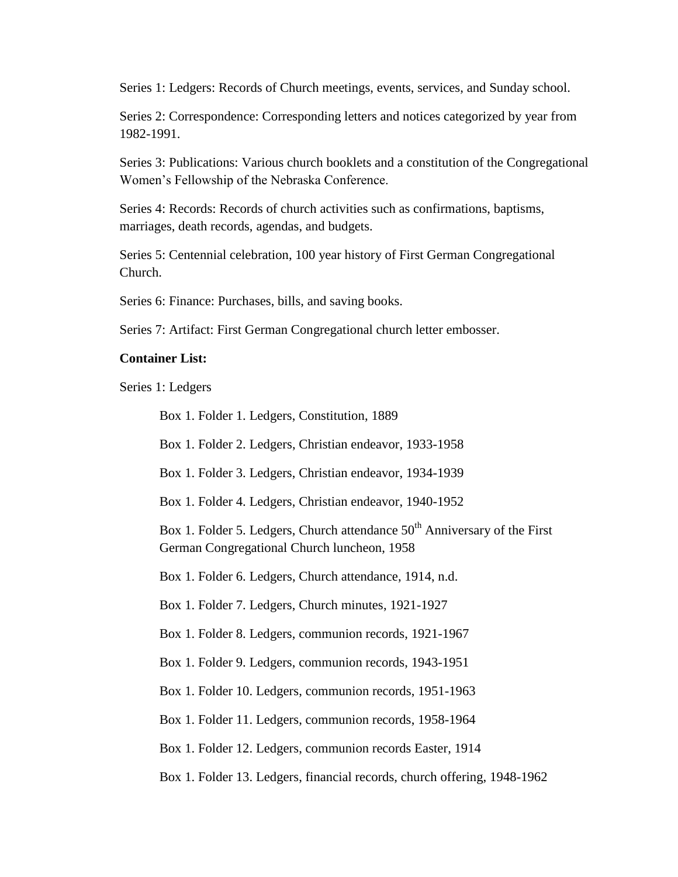Series 1: Ledgers: Records of Church meetings, events, services, and Sunday school.

Series 2: Correspondence: Corresponding letters and notices categorized by year from 1982-1991.

Series 3: Publications: Various church booklets and a constitution of the Congregational Women's Fellowship of the Nebraska Conference.

Series 4: Records: Records of church activities such as confirmations, baptisms, marriages, death records, agendas, and budgets.

Series 5: Centennial celebration, 100 year history of First German Congregational Church.

Series 6: Finance: Purchases, bills, and saving books.

Series 7: Artifact: First German Congregational church letter embosser.

#### **Container List:**

Series 1: Ledgers

Box 1. Folder 1. Ledgers, Constitution, 1889

Box 1. Folder 2. Ledgers, Christian endeavor, 1933-1958

Box 1. Folder 3. Ledgers, Christian endeavor, 1934-1939

Box 1. Folder 4. Ledgers, Christian endeavor, 1940-1952

Box 1. Folder 5. Ledgers, Church attendance  $50<sup>th</sup>$  Anniversary of the First German Congregational Church luncheon, 1958

Box 1. Folder 6. Ledgers, Church attendance, 1914, n.d.

Box 1. Folder 7. Ledgers, Church minutes, 1921-1927

Box 1. Folder 8. Ledgers, communion records, 1921-1967

Box 1. Folder 9. Ledgers, communion records, 1943-1951

Box 1. Folder 10. Ledgers, communion records, 1951-1963

Box 1. Folder 11. Ledgers, communion records, 1958-1964

Box 1. Folder 12. Ledgers, communion records Easter, 1914

Box 1. Folder 13. Ledgers, financial records, church offering, 1948-1962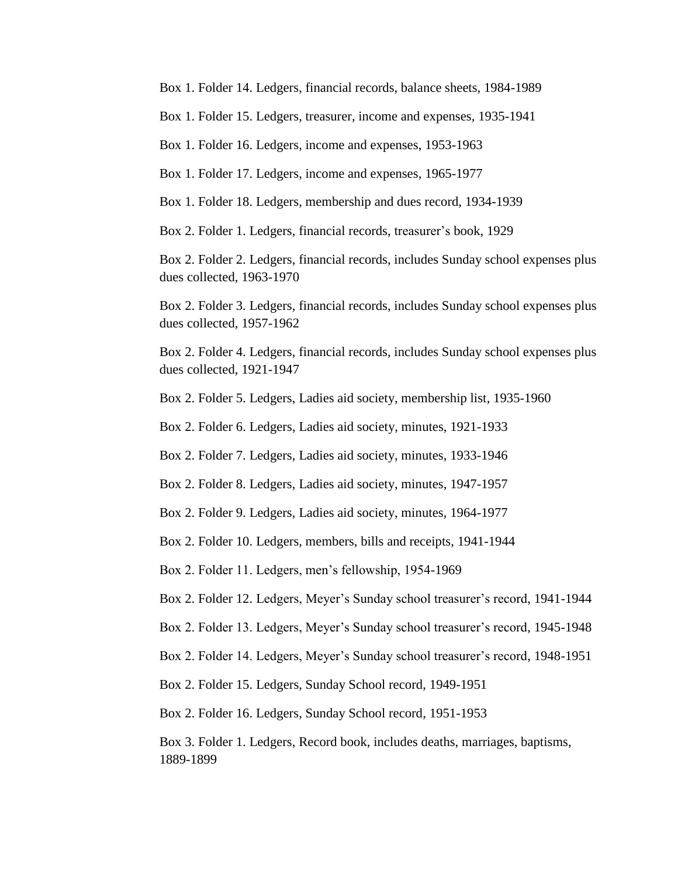Box 1. Folder 14. Ledgers, financial records, balance sheets, 1984-1989

Box 1. Folder 15. Ledgers, treasurer, income and expenses, 1935-1941

Box 1. Folder 16. Ledgers, income and expenses, 1953-1963

Box 1. Folder 17. Ledgers, income and expenses, 1965-1977

Box 1. Folder 18. Ledgers, membership and dues record, 1934-1939

Box 2. Folder 1. Ledgers, financial records, treasurer's book, 1929

Box 2. Folder 2. Ledgers, financial records, includes Sunday school expenses plus dues collected, 1963-1970

Box 2. Folder 3. Ledgers, financial records, includes Sunday school expenses plus dues collected, 1957-1962

Box 2. Folder 4. Ledgers, financial records, includes Sunday school expenses plus dues collected, 1921-1947

Box 2. Folder 5. Ledgers, Ladies aid society, membership list, 1935-1960

Box 2. Folder 6. Ledgers, Ladies aid society, minutes, 1921-1933

Box 2. Folder 7. Ledgers, Ladies aid society, minutes, 1933-1946

Box 2. Folder 8. Ledgers, Ladies aid society, minutes, 1947-1957

Box 2. Folder 9. Ledgers, Ladies aid society, minutes, 1964-1977

Box 2. Folder 10. Ledgers, members, bills and receipts, 1941-1944

Box 2. Folder 11. Ledgers, men's fellowship, 1954-1969

Box 2. Folder 12. Ledgers, Meyer's Sunday school treasurer's record, 1941-1944

Box 2. Folder 13. Ledgers, Meyer's Sunday school treasurer's record, 1945-1948

Box 2. Folder 14. Ledgers, Meyer's Sunday school treasurer's record, 1948-1951

Box 2. Folder 15. Ledgers, Sunday School record, 1949-1951

Box 2. Folder 16. Ledgers, Sunday School record, 1951-1953

Box 3. Folder 1. Ledgers, Record book, includes deaths, marriages, baptisms, 1889-1899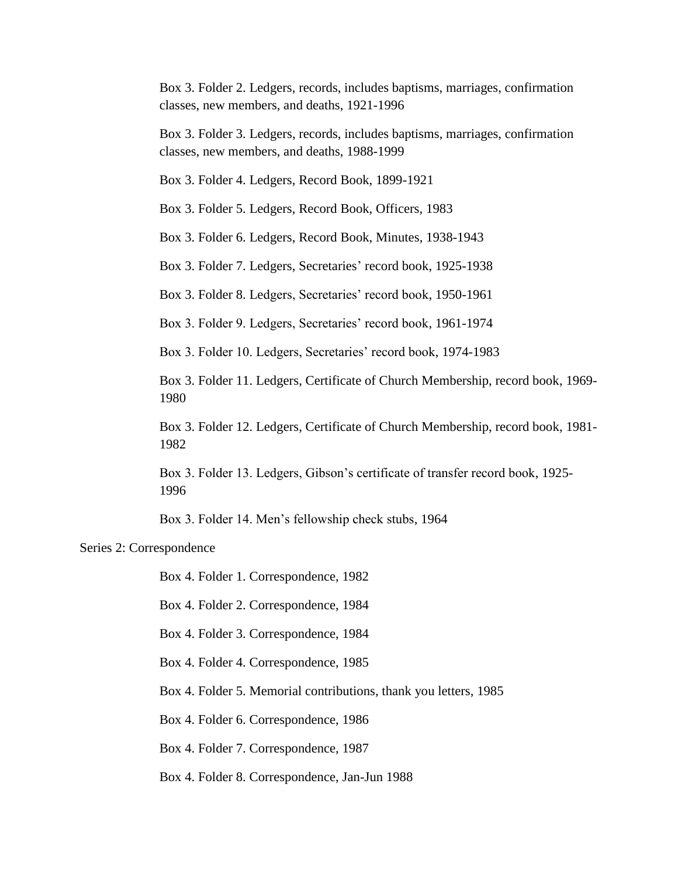Box 3. Folder 2. Ledgers, records, includes baptisms, marriages, confirmation classes, new members, and deaths, 1921-1996

Box 3. Folder 3. Ledgers, records, includes baptisms, marriages, confirmation classes, new members, and deaths, 1988-1999

Box 3. Folder 4. Ledgers, Record Book, 1899-1921

Box 3. Folder 5. Ledgers, Record Book, Officers, 1983

Box 3. Folder 6. Ledgers, Record Book, Minutes, 1938-1943

Box 3. Folder 7. Ledgers, Secretaries' record book, 1925-1938

Box 3. Folder 8. Ledgers, Secretaries' record book, 1950-1961

Box 3. Folder 9. Ledgers, Secretaries' record book, 1961-1974

Box 3. Folder 10. Ledgers, Secretaries' record book, 1974-1983

Box 3. Folder 11. Ledgers, Certificate of Church Membership, record book, 1969- 1980

Box 3. Folder 12. Ledgers, Certificate of Church Membership, record book, 1981- 1982

Box 3. Folder 13. Ledgers, Gibson's certificate of transfer record book, 1925- 1996

Box 3. Folder 14. Men's fellowship check stubs, 1964

#### Series 2: Correspondence

Box 4. Folder 1. Correspondence, 1982

Box 4. Folder 2. Correspondence, 1984

Box 4. Folder 3. Correspondence, 1984

Box 4. Folder 4. Correspondence, 1985

Box 4. Folder 5. Memorial contributions, thank you letters, 1985

Box 4. Folder 6. Correspondence, 1986

Box 4. Folder 7. Correspondence, 1987

Box 4. Folder 8. Correspondence, Jan-Jun 1988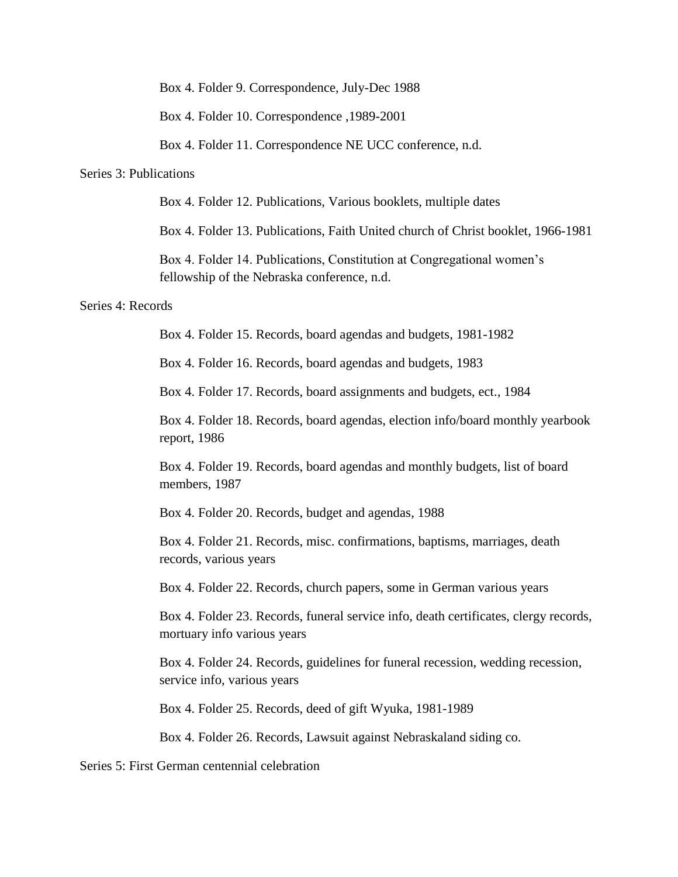Box 4. Folder 9. Correspondence, July-Dec 1988

Box 4. Folder 10. Correspondence ,1989-2001

Box 4. Folder 11. Correspondence NE UCC conference, n.d.

### Series 3: Publications

Box 4. Folder 12. Publications, Various booklets, multiple dates

Box 4. Folder 13. Publications, Faith United church of Christ booklet, 1966-1981

Box 4. Folder 14. Publications, Constitution at Congregational women's fellowship of the Nebraska conference, n.d.

#### Series 4: Records

Box 4. Folder 15. Records, board agendas and budgets, 1981-1982

Box 4. Folder 16. Records, board agendas and budgets, 1983

Box 4. Folder 17. Records, board assignments and budgets, ect., 1984

Box 4. Folder 18. Records, board agendas, election info/board monthly yearbook report, 1986

Box 4. Folder 19. Records, board agendas and monthly budgets, list of board members, 1987

Box 4. Folder 20. Records, budget and agendas, 1988

Box 4. Folder 21. Records, misc. confirmations, baptisms, marriages, death records, various years

Box 4. Folder 22. Records, church papers, some in German various years

Box 4. Folder 23. Records, funeral service info, death certificates, clergy records, mortuary info various years

Box 4. Folder 24. Records, guidelines for funeral recession, wedding recession, service info, various years

Box 4. Folder 25. Records, deed of gift Wyuka, 1981-1989

Box 4. Folder 26. Records, Lawsuit against Nebraskaland siding co.

Series 5: First German centennial celebration